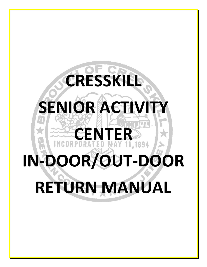# **CRESSKILL SENIOR ACTIV CENTER IN-DOOR/OUT-DOOR RETURN MANUAL**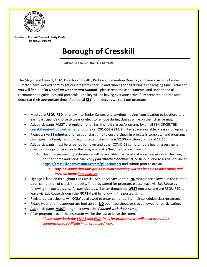

**Director of Cresskill Senior Activity Center** *Donnajo Pascetta*

## **Borough of Cresskill**

*CRESSKILL SENIOR ACTIVITY CENTER*

The Mayor and Council, OEM, Director of Health, Parks and Recreation Director, and Senior Activity Center Director, have worked hard to get our programs back up and running for all during a challenging time. Attached you will find our "*In-Door/Out-Door Return Manual*," please read these documents, and understand all recommended guidelines and protocols. The key will be having everyone arrive fully prepared on time and depart at their appropriate time. Additional **KEY** reminders as we start our programs:

- Masks are **REQUIRED** for entry into Senior Center, and anytime moving from location to location. It is each participant's choice to wear or elect to remove during classes while on their chair or mat.
- **ALL** participants **MUST pre-register** for all facility/field classes/programs by email SENIORCENTER **[cresskillsenior@optonline.net](mailto:cresskillsenior@optonline.net)** or phone call **201-503-9831**. Limited space available. Please sign up early.
- Please arrive **15 minutes** prior to your start time to ensure check-in process is complete, and programs can begin in a timely fashion (i.e., if program start time is **12:30pm**, should arrive at **12:15pm**).
- ALL participants must be screened for fever and other COVID-19 symptoms via health assessment questionnaire **prior to entry** to the program facility/field before each session.
	- o Health assessment questionnaire will be available in a variety of ways; in-person at check-in, print at home and bring hard copy *(via attached document)*, or fill-out prior to arrival on-line at **<https://cresskill.seamlessdocs.com/f/gk23cbr8sc7r>** and submit prior to arrival.
		- *Any individual that fails pre-admission screening will not be able to participate and must go home immediately*.
- Signage is labeled throughout the Cresskill Senior Activity Center. **NO** visitors are allowed in the center, upon completion of check-in process, if not registered for program, please leave via Exit Route by following the posted signs. All participates will enter though the **WEST** entrance and are REQUIRED to leave via Exit Route through the **NORTH** exit by following the posted signs.
- Registered participants will **ONLY** be allowed to enter center during their scheduled class/program.
- Please wear or bring appropriate foot attire. **NO** open-toe shoes, or crocs allowed for participation.
- **ALL** participants **MUST** bring their own drink *(labeled with their name)*.
- After program is over the instructor will be the last to leave the room.
	- o *Please know both the START and END times for programs, we will need everyone's cooperation to facilitate in an organized way*.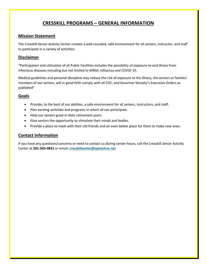## **CRESSKILL PROGRAMS – GENERAL INFORMATION**

#### **Mission Statement**

The Cresskill Senior Activity Center creates a well-rounded, safe environment for all seniors, instructor, and staff to participate in a variety of activities.

#### **Disclaimer**

"Participation and utilization of all Public Facilities includes the possibility of exposure to and illness from infectious diseases including but not limited to MRSA, influenza and COVID-19.

Medical guidelines and personal discipline may reduce the risk of exposure to the illness, the seniors or families' members of our seniors, will in good faith comply with all CDC, and Governor Murphy's Executive Orders as published"

#### **Goals**

- Provide, to the best of our abilities, a safe environment for all seniors, instructors, and staff.
- Plan exciting activities and programs in which all can participate.
- Help our seniors grow in their retirement years.
- Give seniors the opportunity to stimulate their minds and bodies.
- Provide a place to meet with their old friends and an even better place for them to make new ones.

#### **Contact Information**

If you have any questions/concerns or need to contact us during center hours, call the Cresskill Senior Activity Center at **201-503-9831** or email: **cresskillsenior@optonline.net**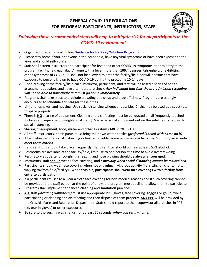## **GENERAL COVID-19 REGULATIONS FOR PROGRAM PARTICIPANTS, INSTRUCTORS, STAFF**



### *Following these recommended steps will help to mitigate risk for all participants in the COVID-19 environment*

- Organized programs must follow **Guidance for In-Door/Out-Door Programs**.
- $\triangleright$  Please stay home if you, or anyone in the household, have any viral symptoms or have been exposed to the virus and should self-isolate.
- $\triangleright$  Staff shall screen instructors and participant for fever and other COVID-19 symptoms prior to entry to the program facility/field each day. Anyone with a fever more than **100.4** degrees Fahrenheit, or exhibiting other symptoms of COVID-19, shall not be allowed to enter the facility/field nor will persons that have exposure to persons known to have COVID-19 during the preceding 10-14 days.
- $\triangleright$  Upon arriving at the facility/field each instructor, participant, and staff will be asked a series of health assessment questions and have a temperature check. *Any individual that fails the pre-admission screening will not be able to participate and must go home immediately*.
- $\triangleright$  Programs shall take steps to preclude crowding at pick up and drop off times. Programs are strongly encouraged to **schedule** and **stagger** these times.
- $\triangleright$  Limit handshakes, and hugging. Use social distancing whenever possible. Chairs may be used as a substitute to space properly.
- There is **NO** sharing of equipment. Cleaning and disinfecting must be conducted on all frequently touched surfaces and equipment (weights, mats, etc.). Space personal equipment out on the sidelines to help with social distancing.
- Sharing of **equipment**, **food**, **water** and **other like items ARE PROHIBITED**.
- All staff, instructors, participants must bring their own water bottles *(preferred labeled with name on it)*.
- All activities will use social distancing as best as possible. *Some activities will be revised or modified to help meet these criteria*.
- Hand sanitizing should take place **frequently**. Hand sanitizer should contain at least 60% alcohol.
- $\triangleright$  Restrooms are available at the facility/field, limit use to one person at a time to avoid overcrowding.
- Respiratory etiquette for coughing, sneezing and nose blowing should be **always encouraged**.
- Instructors, staff **should** wear a face covering, and *especially when social distancing cannot be maintained*.
- Participants should wear face covering when **not engaging** in vigorous activity (i.e. sitting on chairs/mats, walking to/from field/facility). When **feasible**, **participants shall wear face coverings within facility from entry to participation**.
- $\triangleright$  If a participant refuses to a wear a cloth face covering for non-medical reasons and if such covering cannot be provided to the staff person at the point of entry, the program must decline to allow them to participate.
- Programs shall implement enhanced **cleaning** and **sanitation** practices.
- **ALL** staff *(including volunteers)* must use appropriate PPE (gloves, face covering, goggles or gown) while participating or cleaning and disinfecting and then dispose of them properly. **ANY PPE** will be provided by the Cresskill Parks and Recreation Department. Staff should report to their supervisor all breaches in PPE (i.e. tear in gloves) or other exposures.
- Be sure to thoroughly wash hands, for at least 20 seconds, *when you return home*.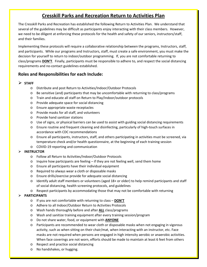## **Cresskill Parks and Recreation Return to Activities Plan**

The Cresskill Parks and Recreation has established the following Return to Activities Plan. We understand that several of the guidelines may be difficult as participants enjoy interacting with their class members. However, we need to be diligent at enforcing these protocols for the health and safety of our seniors, instructors/staff, and their families.

Implementing these protocols will require a collaborative relationship between the programs, Instructors, staff, and participants. While our programs and Instructors, staff, must create a safe environment, you must make the decision for yourself to return to indoor/outdoor programming. If, you are not comfortable returning to class/programs **DON'T**. Finally, participants must be responsible to adhere to, and respect the social distancing requirements and no-contact guidelines established.

#### **Roles and Responsibilities for each Include:**

#### **STAFF**

- o Distribute and post Return to Activities/Indoor/Outdoor Protocols
- o Be sensitive (and) participants that may be uncomfortable with returning to class/programs
- o Train and educate all staff on Return to Play/Indoor/outdoor protocols
- o Provide adequate space for social distancing
- o Ensure appropriate waste receptacles
- o Provide masks for all staff, and volunteers
- o Provide hand sanitizer stations
- $\circ$  Use of signs, or physical barriers can be used to assist with guiding social distancing requirements
- o Ensure routine and frequent cleaning and disinfecting, particularly of high-touch surfaces in accordance with CDC recommendations
- o Ensure all participants, instructors, staff, and others participating in activities must be screened, via temperature check and/or health questionnaire, at the beginning of each training session
- o COVID-19 reporting and communication

#### **INSTRUCTOR**

- o Follow all Return to Activities/Indoor/Outdoor Protocols
- $\circ$  Inquire how participants are feeling if they are not feeling well, send them home
- o Ensure all participants have their individual equipment
- o Required to always wear a cloth or disposable masks
- o Ensure drills/exercise provide for adequate social distancing
- $\circ$  Identify adult staff members or volunteers (aged 18+ or older) to help remind participants and staff of social distancing, health screening protocols, and guidelines
- o Respect participants by accommodating those that may not be comfortable with returning

#### **PARTICIPANTS**

- o If you are not comfortable with returning to class **DON'T**
- o Adhere to all Indoor/Outdoor Return to Activities Protocols
- o Wash hands thoroughly before and after **ALL** class/programs
- o Wash and sanitize training equipment after every training session/program
- o Do not share water, food, or equipment with **ANYONE**
- o Participants are recommended to wear cloth or disposable masks when not engaging in vigorous activity, such as when sitting on their chair/mat, when interacting with an instructor, etc. Face masks are not required when persons are engaged in high intensity aerobic or anaerobic activities. When face coverings are not worn, efforts should be made to maintain at least 6 feet from others
- o Respect and practice social distancing
- o No handshakes, or hugging.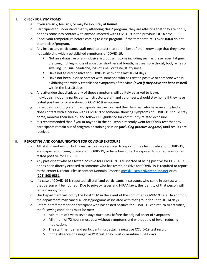#### **I. CHECK FOR SYMPTOMS**

- a. If you are sick, feel sick, or may be sick, stay at **home**!
- b. Participants to understand that by attending class/ program, they are attesting that they are not ill, nor has come into contact with anyone infected with COVID-19 in the previous **10-14** days.
- c. Check your temperature before coming to class program. If the temperature is over **100.4** do not attend class/program.
- d. Any instructor, participants, staff need to attest that to the best of their knowledge that they have not exhibiting widely established symptoms of COVID-19.
	- Not an exhaustive or all-inclusive list, but symptoms including such as these fever, fatigue, dry cough, phlegm, loss of appetite, shortness of breath, nausea, sore throat, body aches or swelling, unusual headache, loss of smell or taste, stuffy nose.
	- Have not tested positive for COVID-19 within the last 10-14 days.
	- Have not been in close contact with someone who has tested positive or someone who is exhibiting the widely established symptoms of the virus *(even if they have not been tested)* within the last 10 days.
- e. Any attendee that displays any of these symptoms will politely be asked to leave.
- f. Individuals, including participants, instructors, staff, and volunteers, should stay home if they have tested positive for or are showing COVID-19 symptoms.
- g. Individuals, including staff, participants, instructors, and their families, who have recently had a close contact with a person with COVID-19 or someone showing symptoms of COVID-19 should stay home, monitor their health, and follow CDC guidance for community-related exposure.
- h. It is recommended that if you or anyone in the household recently went for COVID test that any participants remain out of program or training session *(including practice or game)* until results are received.

#### **II. REPORTING AND COMMUNICATION FOR COVID-19 EXPOSURE**

- a. **ALL** staff members (including instructors) are required to report if they test positive for COVID-19, are suspected of being positive for COVID-19, or have been directly exposed to someone who has tested positive for COVID-19.
- b. Any participant who has tested positive for COVID-19, is suspected of being positive for COVID-19, or has been directly exposed to someone who has tested positive for COVID-19 is required to report to the center Director. Please contact Donnajo Pascetta **[cresskilllsenior@optonline.net](mailto:cresskilllsenior@optonline.net)** or call **(201) 503-9831**.
- c. If a case of COVID-19 is reported, all staff and participants, instructors who came in contact with that person will be notified. Due to privacy issues and HIPAA laws, the identity of that person will remain anonymous.
- d. Our Department will notify the local OEM in the event of the confirmed COVID-19 case. In addition, the department may cancel all class/programs associated with that group for up to 10-14 days.
- e. Before a staff member or participant who has tested positive for COVID-19 can return to activities, the following conditions must be met:
	- o Minimum of five to seven days must pass before the original onset of symptoms
	- o Minimum of 72 hours must pass without symptoms and without aid of fever-reducing medications
	- o The staff member and participant must attain a negative COVID-19 test result
	- o In the absence of a negative PCR test, they must quarantine 10-14 days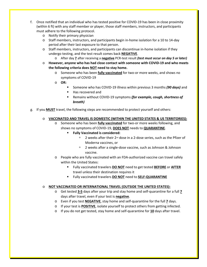- f. Once notified that an individual who has tested positive for COVID-19 has been in close proximity (within 6 ft) with any staff member or player, those staff members, instructors, and participants must adhere to the following protocol.
	- o Notify their primary physician
	- o Staff members, instructors, and participants begin in-home isolation for a 10 to 14-day period after their last exposure to that person.
	- o Staff members, instructors, and participants can discontinue in-home isolation if they undergo testing, and the test result comes back **NEGATIVE**.
		- o After day **7** after receiving a **negative** PCR-test result *(test must occur on day 5 or later)*
	- o **However, anyone who has had close contact with someone with COVID-19 and who meets the following criteria does NOT need to stay home.**
		- o Someone who has been **fully vaccinated** for two-or more weeks, and shows no symptoms of COVID-19
		- o **OR:**
			- Someone who has COVID-19 illness within previous 3 months *(90 days)* and
				- Has recovered and
				- Remains without COVID-19 symptoms *(for example, cough, shortness of breath)*
- g. If you **MUST** travel, the following steps are recommended to protect yourself and others:

#### o **VACCINATED AND TRAVEL IS DOMESTIC (WITHIN THE UNITED STATES & US TERRITORIES):**

- o Someone who has been **fully vaccinated** for two-or more weeks following, and shows no symptoms of COVID-19, **DOES NOT** needs to **QUARANTINE**.
	- **Fully Vaccinated is considered:**
		- <sup>n</sup> 2 weeks after their 2<sup>nd</sup> dose in a 2-dose series, such as the Pfizer of Moderna vaccines, or
		- <sup>n</sup> 2 weeks after a single-dose vaccine, such as Johnson & Johnson vaccine.
- o People who are fully vaccinated with an FDA-authorized vaccine can travel safely within the United States:
	- Fully vaccinated travelers **DO NOT** need to get tested **BEFORE** or **AFTER** travel unless their destination requires it
	- Fully vaccinated travelers **DO NOT** need to **SELF-QUARANTINE**

#### o **NOT VACCINATED OR INTERNATIONAL TRAVEL (OUTSIDE THE UNITED STATES):**

- o Get tested **3-5** days after your trip and stay home and self-quarantine for a full **7** days after travel, even if your test is **negative**.
- o Even if you test **NEGATIVE**, stay home and self-quarantine for the full **7** days.
- o If your test is **POSITIVE**, isolate yourself to protect others from getting infected.
- o If you do not get tested, stay home and self-quarantine for **10** days after travel.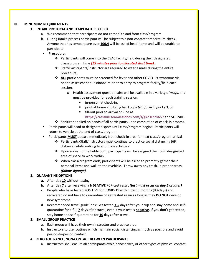#### **III. MINUMUM REQUIREMENTS**

#### **1. INTAKE PROTOCAL AND TEMPERATURE CHECK**

- a. We recommend that participants do not carpool to and from class/program
- b. During intake process participant will be subject to a non-contact temperature check. Anyone that has temperature over **100.4** will be asked head home and will be unable to participate.
- **Procedure:**
	- $\div$  Participants will come into the CSAC facility/field during their designated class/program time *(15 minutes prior to allocated start time).*
	- $\div$  Staff/Participants/Instructor are required to wear a mask during the entire procedure.
	- **↑ ALL** participants must be screened for fever and other COVID-19 symptoms via health assessment questionnaire prior to entry to program facility/field each session.
		- o Health assessment questionnaire will be available in a variety of ways, and must be provided for each training session;
			- in-person at check-in,
			- print at home and bring hard copy *(via form in packet)*, or
			- fill-out prior to arrival on-line at
				- **<https://cresskill.seamlessdocs.com/f/gk23cbr8sc7r>** and **SUBMIT**.
	- Sanitizer applied on hands of all participants upon completion of check-in process.
- Participants will head to designated spots until class/program begins. Participants will return to vehicle at the end of class/program.
- Participants **MUST** depart immediately from check-in area for next class/program arrival
	- Participants/Staff/Instructors must continue to practice social distancing (6ft distance) while walking to and from activities.
	- $\div$  Upon arrival to the field/room, participants will be assigned their own designated area of space to work within.
	- $\cdot$  When class/program ends, participants will be asked to promptly gather their personal items and walk to their vehicle. Throw away any trash, in proper areas *(follow signage)*.

#### **2. QUARANTINE OPTIONS**

- **a.** After day **10** without testing
- **b.** After day **7** after receiving a **NEGATIVE** PCR-test result *(test must occur on day 5 or later)*
- **c.** People who have tested **POSITIVE** for COVID-19 within past 3 months (90-days) and recovered do not have to quarantine or get tested again as long as they **DO NOT** develop new symptoms.
- **d.** Recommended travel guidelines: Get tested **3-5** days after your trip and stay home and selfquarantine for a full **7** days after travel, even if your test is **negative**. If you don't get tested, stay home and self-quarantine for **10** days after travel.

#### **3. SMALL GROUP PRACTICE**

- a. Each group will have their own instructor and practice area.
- b. Instructors to use routines which maintain social distancing as much as possible and avoid person-to-person contact.

#### **4. ZERO TOLERANCE, NON-CONTACT BETWEEN PARTICIPANTS**

a. Instructors shall ensure all participants avoid handshakes, or other types of physical contact.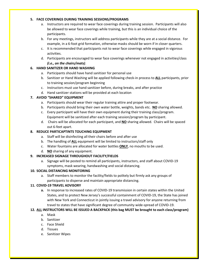#### **5. FACE COVERINGS DURING TRAINING SESSIONS/PROGRAMS**

- a. Instructors are required to wear face coverings during training session. Participants will also be allowed to wear face coverings while training, but this is an individual choice of the participants.
- b. For any meetings, instructors will address participants while they are at a social distance. For example, in a 6-foot grid formation, otherwise masks should be worn if in closer quarters.
- c. It is recommended that participants not to wear face coverings while engaged in vigorous activities.
- d. Participants are encouraged to wear face coverings whenever not engaged in activities/class *(i.e., on the chairs/mats)*.

#### **6. HAND SANITIZER OR HAND WASHING**

- a. Participants should have hand sanitizer for personal use
- b. Sanitizer or Hand Washing will be applied following check-in process to **ALL** participants, prior to training session/program beginning
- c. Instructors must use hand sanitizer before, during breaks, and after practice
- d. Hand sanitizer stations will be provided at each location

#### **7. AVOID "SHARED" EQUIPMENT**

- a. Participants should wear their regular training attire and proper footwear.
- b. Participants should bring their own water bottle, weights, bands etc. **NO** sharing allowed.
- c. Every participant will have their own equipment during their training class/program. Equipment will be sanitized after each training session/program by participant.
- d. Chairs will be allocated for each participant, and **NO** sharing allowed. Chairs will be spaced out 6-feet apart.

#### **8. REDUCE PARTICAPTINTS TOUCHING EQUIPMENT**

- a. Staff will be disinfecting all their chairs before and after use
- b. The handling of **ALL** equipment will be limited to instructors/staff only
- c. Water fountains are allocated for water bottles **ONLY**, no mouths to be used.
- d. **NO** sharing of any equipment.

#### **9. INCREASED SIGNAGE THROUGHOUT FACILITY/FIELDS**

a. Signage will be posted to remind all participants, instructors, and staff about COVID-19 symptoms, mask wearing, handwashing and social distancing.

#### **10. SOCIAL DISTANCING MONITORING**

a. Staff members to monitor the facility/fields to politely but firmly ask any groups of participants to disperse and maintain appropriate distancing.

#### **11. COVID-19 TRAVEL ADVISORY**

**a.** In response to increased rates of COVID-19 transmission in certain states within the United States, and to protect New Jersey's successful containment of COVID-19, the State has joined with New York and Connecticut in jointly issuing a travel advisory for anyone returning from travel to states that have significant degree of community wide-spread of COVID-19.

#### **12. ALL INSTRUCTORS WILL BE ISSUED A BACKPACK (this bag MUST be brought to each class/program)**

- a. Mask
- b. Sanitizer
- c. Face Shield
- d. Tissues
- e. Sanitizer Wipes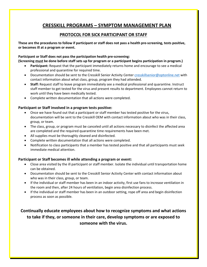## **CRESSKILL PROGRAMS – SYMPTOM MANAGEMENT PLAN**

#### **PROTOCOL FOR SICK PARTICIPANT OR STAFF**

**These are the procedures to follow if participant or staff does not pass a health pre-screening, tests positive, or becomes ill at a program or event.** 

#### **Participant or Staff does not pass the participation health pre-screening:**

**(Screening must be done before staff sets up for program or a participant begins participation in program.)** 

- **Participant:** Request that the participant immediately returns home and encourage to see a medical professional and quarantine for required time.
- Documentation should be sent to the Cresskill Senior Activity Center [cresskillsenior@optonline.net](mailto:cresskillsenior@optonline.net) with contact information about what class, group, program they had attended.
- **Staff:** Request staff to leave program immediately see a medical professional and quarantine. Instruct staff member to get tested for the virus and present results to department. Employees cannot return to work until they have been medically tested.
- Complete written documentation that all actions were completed.

#### **Participant or Staff involved in a program tests positive:**

- Once we have found out that a participant or staff member has tested positive for the virus, documentation will be sent to the Cresskill OEM with contact information about who was in their class, group, or team.
- The class, group, or program must be canceled until all actions necessary to disinfect the affected area are completed and the required quarantine time requirements have been met.
- All supplies must be thoroughly cleaned and disinfected.
- Complete written documentation that all actions were completed.
- Notification to class participants that a member has tested positive and that all participants must seek immediate medical attention.

#### **Participant or Staff becomes ill while attending a program or event:**

- Close area visited by the ill participant or staff member. Isolate the individual until transportation home can be obtained.
- Documentation should be sent to the Cresskill Senior Activity Center with contact information about who was in their class, group, or team.
- If the individual or staff member has been in an indoor activity, first use fans to increase ventilation in the room and then, after 24 hours of ventilation, begin area disinfection process.
- If the individual or staff member has been in an outdoor setting, rope off area and begin disinfection process as soon as possible.

**Continually educate employees about how to recognize symptoms and what actions to take if they, or someone in their care, develop symptoms or are exposed to someone with the virus.**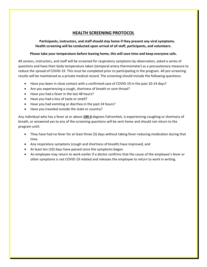#### **HEALTH SCREENING PROTOCOL**

 **Participants, instructors, and staff should stay home if they present any viral symptoms. Health screening will be conducted upon arrival of all staff, participants, and volunteers.**

#### **Please take your temperature before leaving home, this will save time and keep everyone safe.**

All seniors, instructors, and staff will be screened for respiratory symptoms by observation, asked a series of questions and have their body temperature taken (temporal artery thermometer) as a precautionary measure to reduce the spread of COVID-19. This must be completed prior to participating in the program. All pre-screening results will be maintained as a private medical record. The screening should include the following questions:

- Have you been in close contact with a confirmed case of COVID-19 in the past 10-14 days?
- Are you experiencing a cough, shortness of breath or sore throat?
- Have you had a fever in the last 48 hours?
- Have you had a loss of taste or smell?
- Have you had vomiting or diarrhea in the past 24 hours?
- Have you traveled outside the state or country?

Any individual who has a fever at or above **100.4** degrees Fahrenheit, is experiencing coughing or shortness of breath, or answered yes to any of the screening questions will be sent home and should not return to the program until:

- They have had no fever for at least three (3) days without taking fever-reducing medication during that time.
- Any respiratory symptoms (cough and shortness of breath) have improved, and
- At least ten (10) days have passed since the symptoms began.
- An employee may return to work earlier if a doctor confirms that the cause of the employee's fever or other symptoms is not COVID-19 related and releases the employee to return to work in writing.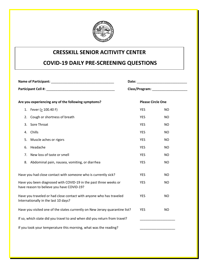

## **CRESSKILL SENIOR ACITIVITY CENTER**

## **COVID-19 DAILY PRE-SCREENING QUESTIONS**

| Are you experiencing any of the following symptoms?                                                           |                                               |            | <b>Please Circle One</b> |  |
|---------------------------------------------------------------------------------------------------------------|-----------------------------------------------|------------|--------------------------|--|
|                                                                                                               | 1. Fever ( $\geq$ 100.40 F)                   | <b>YES</b> | <b>NO</b>                |  |
| 2.                                                                                                            | Cough or shortness of breath                  | <b>YES</b> | <b>NO</b>                |  |
| 3.                                                                                                            | Sore Throat                                   | <b>YES</b> | <b>NO</b>                |  |
| 4.                                                                                                            | Chills                                        | <b>YES</b> | <b>NO</b>                |  |
| 5.                                                                                                            | Muscle aches or rigors                        | <b>YES</b> | <b>NO</b>                |  |
| 6.                                                                                                            | Headache                                      | <b>YES</b> | <b>NO</b>                |  |
| 7.                                                                                                            | New loss of taste or smell                    | <b>YES</b> | <b>NO</b>                |  |
| 8.                                                                                                            | Abdominal pain, nausea, vomiting, or diarrhea | <b>YES</b> | <b>NO</b>                |  |
| Have you had close contact with someone who is currently sick?                                                |                                               | <b>YES</b> | <b>NO</b>                |  |
| Have you been diagnosed with COVID-19 in the past three weeks or<br>have reason to believe you have COVID-19? |                                               | <b>YES</b> | <b>NO</b>                |  |
| Have you traveled or had close contact with anyone who has traveled<br>Internationally in the last 10 days?   |                                               | <b>YES</b> | <b>NO</b>                |  |
| Have you visited one of the states currently on New Jersey quarantine list?                                   |                                               | <b>YES</b> | <b>NO</b>                |  |
| If so, which state did you travel to and when did you return from travel?                                     |                                               |            |                          |  |
| If you took your temperature this morning, what was the reading?                                              |                                               |            |                          |  |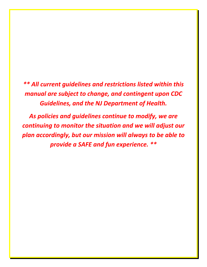*\*\* All current guidelines and restrictions listed within this manual are subject to change, and contingent upon CDC Guidelines, and the NJ Department of Health.*

*As policies and guidelines continue to modify, we are continuing to monitor the situation and we will adjust our plan accordingly, but our mission will always to be able to provide a SAFE and fun experience. \*\**